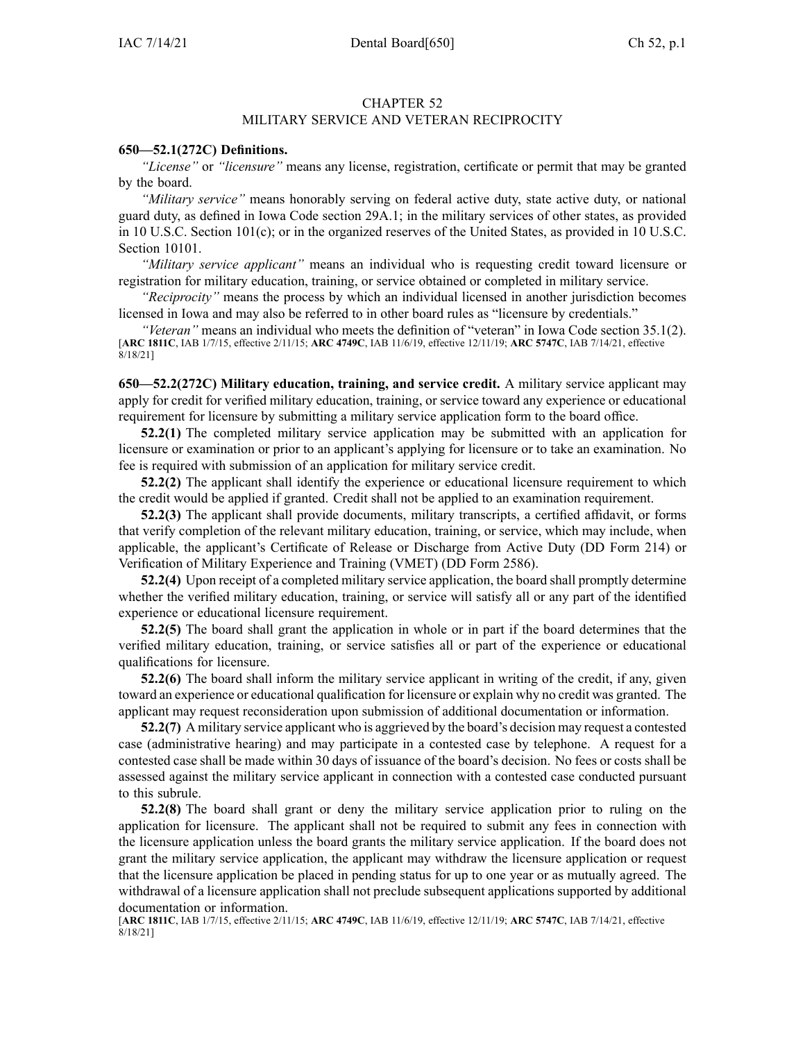## CHAPTER 52

## MILITARY SERVICE AND VETERAN RECIPROCITY

## **650—52.1(272C) Definitions.**

*"License"* or *"licensure"* means any license, registration, certificate or permit that may be granted by the board.

*"Military service"* means honorably serving on federal active duty, state active duty, or national guard duty, as defined in Iowa Code section [29A.1](https://www.legis.iowa.gov/docs/ico/section/29A.1.pdf); in the military services of other states, as provided in 10 U.S.C. Section 101(c); or in the organized reserves of the United States, as provided in 10 U.S.C. Section 10101.

*"Military service applicant"* means an individual who is requesting credit toward licensure or registration for military education, training, or service obtained or completed in military service.

*"Reciprocity"* means the process by which an individual licensed in another jurisdiction becomes licensed in Iowa and may also be referred to in other board rules as "licensure by credentials."

*"Veteran"* means an individual who meets the definition of "veteran" in Iowa Code section [35.1\(2\)](https://www.legis.iowa.gov/docs/ico/section/35.1.pdf). [**ARC [1811C](https://www.legis.iowa.gov/docs/aco/arc/1811C.pdf)**, IAB 1/7/15, effective 2/11/15; **ARC [4749C](https://www.legis.iowa.gov/docs/aco/arc/4749C.pdf)**, IAB 11/6/19, effective 12/11/19; **ARC [5747C](https://www.legis.iowa.gov/docs/aco/arc/5747C.pdf)**, IAB 7/14/21, effective 8/18/21]

**650—52.2(272C) Military education, training, and service credit.** A military service applicant may apply for credit for verified military education, training, or service toward any experience or educational requirement for licensure by submitting <sup>a</sup> military service application form to the board office.

**52.2(1)** The completed military service application may be submitted with an application for licensure or examination or prior to an applicant's applying for licensure or to take an examination. No fee is required with submission of an application for military service credit.

**52.2(2)** The applicant shall identify the experience or educational licensure requirement to which the credit would be applied if granted. Credit shall not be applied to an examination requirement.

**52.2(3)** The applicant shall provide documents, military transcripts, <sup>a</sup> certified affidavit, or forms that verify completion of the relevant military education, training, or service, which may include, when applicable, the applicant's Certificate of Release or Discharge from Active Duty (DD Form 214) or Verification of Military Experience and Training (VMET) (DD Form 2586).

**52.2(4)** Upon receipt of <sup>a</sup> completed military service application, the board shall promptly determine whether the verified military education, training, or service will satisfy all or any par<sup>t</sup> of the identified experience or educational licensure requirement.

**52.2(5)** The board shall gran<sup>t</sup> the application in whole or in par<sup>t</sup> if the board determines that the verified military education, training, or service satisfies all or par<sup>t</sup> of the experience or educational qualifications for licensure.

**52.2(6)** The board shall inform the military service applicant in writing of the credit, if any, given toward an experience or educational qualification for licensure or explain why no credit was granted. The applicant may reques<sup>t</sup> reconsideration upon submission of additional documentation or information.

**52.2(7)** A military service applicant who is aggrieved by the board's decision may reques<sup>t</sup> <sup>a</sup> contested case (administrative hearing) and may participate in <sup>a</sup> contested case by telephone. A reques<sup>t</sup> for <sup>a</sup> contested case shall be made within 30 days of issuance of the board's decision. No fees or costs shall be assessed against the military service applicant in connection with <sup>a</sup> contested case conducted pursuan<sup>t</sup> to this subrule.

**52.2(8)** The board shall gran<sup>t</sup> or deny the military service application prior to ruling on the application for licensure. The applicant shall not be required to submit any fees in connection with the licensure application unless the board grants the military service application. If the board does not gran<sup>t</sup> the military service application, the applicant may withdraw the licensure application or reques<sup>t</sup> that the licensure application be placed in pending status for up to one year or as mutually agreed. The withdrawal of <sup>a</sup> licensure application shall not preclude subsequent applications supported by additional documentation or information.

[**ARC [1811C](https://www.legis.iowa.gov/docs/aco/arc/1811C.pdf)**, IAB 1/7/15, effective 2/11/15; **ARC [4749C](https://www.legis.iowa.gov/docs/aco/arc/4749C.pdf)**, IAB 11/6/19, effective 12/11/19; **ARC [5747C](https://www.legis.iowa.gov/docs/aco/arc/5747C.pdf)**, IAB 7/14/21, effective 8/18/21]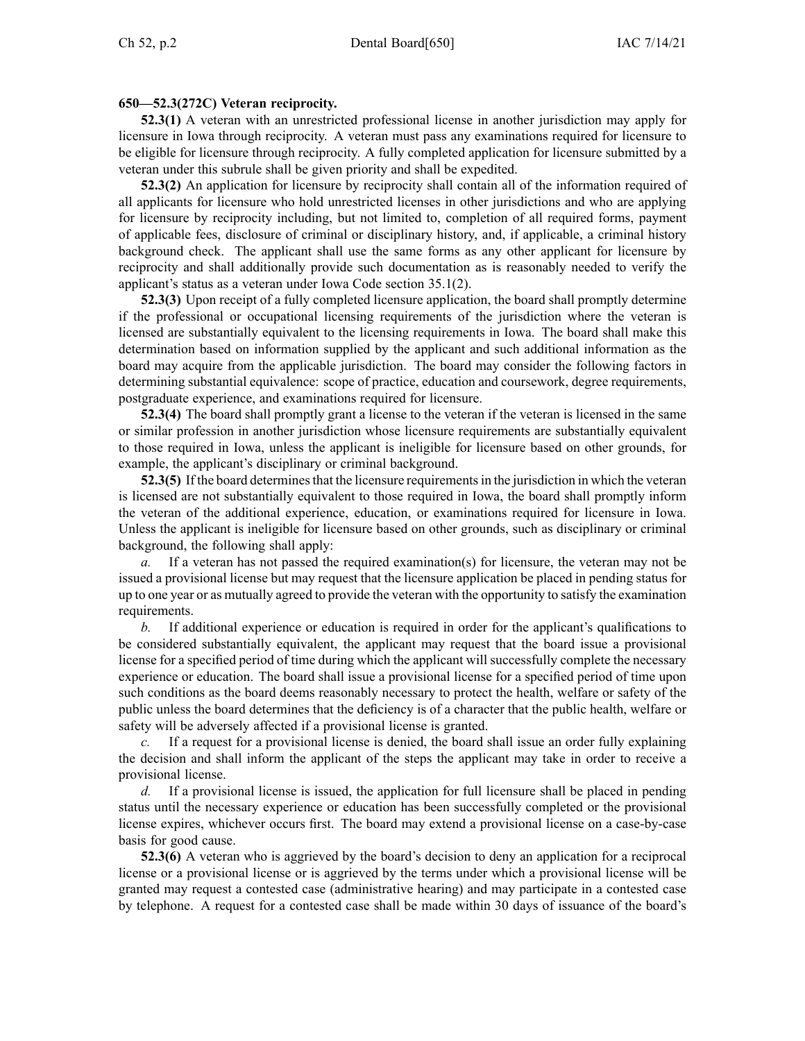## **650—52.3(272C) Veteran reciprocity.**

**52.3(1)** A veteran with an unrestricted professional license in another jurisdiction may apply for licensure in Iowa through reciprocity. A veteran must pass any examinations required for licensure to be eligible for licensure through reciprocity. A fully completed application for licensure submitted by <sup>a</sup> veteran under this subrule shall be given priority and shall be expedited.

**52.3(2)** An application for licensure by reciprocity shall contain all of the information required of all applicants for licensure who hold unrestricted licenses in other jurisdictions and who are applying for licensure by reciprocity including, but not limited to, completion of all required forms, paymen<sup>t</sup> of applicable fees, disclosure of criminal or disciplinary history, and, if applicable, <sup>a</sup> criminal history background check. The applicant shall use the same forms as any other applicant for licensure by reciprocity and shall additionally provide such documentation as is reasonably needed to verify the applicant's status as <sup>a</sup> veteran under Iowa Code section [35.1\(2\)](https://www.legis.iowa.gov/docs/ico/section/35.1.pdf).

**52.3(3)** Upon receipt of <sup>a</sup> fully completed licensure application, the board shall promptly determine if the professional or occupational licensing requirements of the jurisdiction where the veteran is licensed are substantially equivalent to the licensing requirements in Iowa. The board shall make this determination based on information supplied by the applicant and such additional information as the board may acquire from the applicable jurisdiction. The board may consider the following factors in determining substantial equivalence: scope of practice, education and coursework, degree requirements, postgraduate experience, and examinations required for licensure.

**52.3(4)** The board shall promptly gran<sup>t</sup> <sup>a</sup> license to the veteran if the veteran is licensed in the same or similar profession in another jurisdiction whose licensure requirements are substantially equivalent to those required in Iowa, unless the applicant is ineligible for licensure based on other grounds, for example, the applicant's disciplinary or criminal background.

**52.3(5)** If the board determines that the licensure requirements in the jurisdiction in which the veteran is licensed are not substantially equivalent to those required in Iowa, the board shall promptly inform the veteran of the additional experience, education, or examinations required for licensure in Iowa. Unless the applicant is ineligible for licensure based on other grounds, such as disciplinary or criminal background, the following shall apply:

*a.* If <sup>a</sup> veteran has not passed the required examination(s) for licensure, the veteran may not be issued <sup>a</sup> provisional license but may reques<sup>t</sup> that the licensure application be placed in pending status for up to one year or as mutually agreed to provide the veteran with the opportunity to satisfy the examination requirements.

*b.* If additional experience or education is required in order for the applicant's qualifications to be considered substantially equivalent, the applicant may reques<sup>t</sup> that the board issue <sup>a</sup> provisional license for <sup>a</sup> specified period of time during which the applicant will successfully complete the necessary experience or education. The board shall issue <sup>a</sup> provisional license for <sup>a</sup> specified period of time upon such conditions as the board deems reasonably necessary to protect the health, welfare or safety of the public unless the board determines that the deficiency is of <sup>a</sup> character that the public health, welfare or safety will be adversely affected if <sup>a</sup> provisional license is granted.

*c.* If <sup>a</sup> reques<sup>t</sup> for <sup>a</sup> provisional license is denied, the board shall issue an order fully explaining the decision and shall inform the applicant of the steps the applicant may take in order to receive <sup>a</sup> provisional license.

*d.* If <sup>a</sup> provisional license is issued, the application for full licensure shall be placed in pending status until the necessary experience or education has been successfully completed or the provisional license expires, whichever occurs first. The board may extend <sup>a</sup> provisional license on <sup>a</sup> case-by-case basis for good cause.

**52.3(6)** A veteran who is aggrieved by the board's decision to deny an application for <sup>a</sup> reciprocal license or <sup>a</sup> provisional license or is aggrieved by the terms under which <sup>a</sup> provisional license will be granted may reques<sup>t</sup> <sup>a</sup> contested case (administrative hearing) and may participate in <sup>a</sup> contested case by telephone. A reques<sup>t</sup> for <sup>a</sup> contested case shall be made within 30 days of issuance of the board's